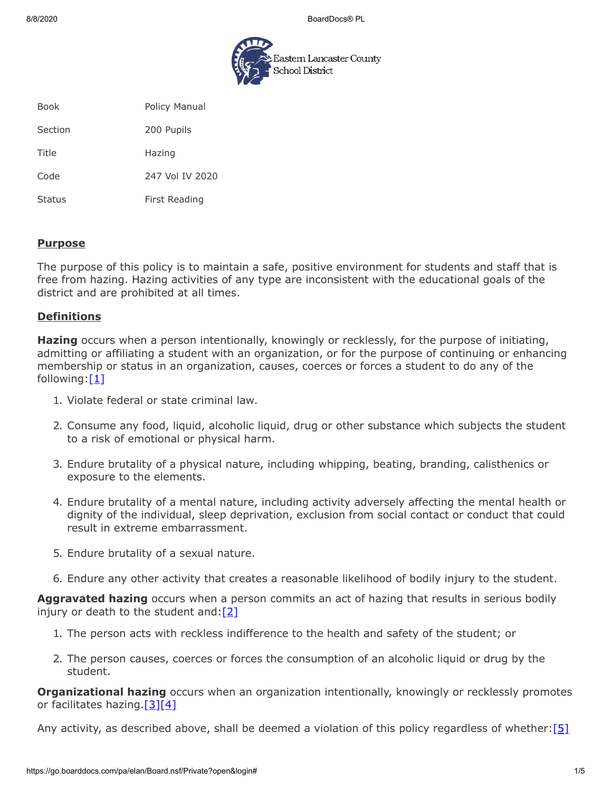8/8/2020 BoardDocs® PL



| <b>Book</b> | Policy Manual |
|-------------|---------------|

Section 200 Pupils

Title Hazing

Code 247 Vol IV 2020

Status First Reading

#### **Purpose**

The purpose of this policy is to maintain a safe, positive environment for students and staff that is free from hazing. Hazing activities of any type are inconsistent with the educational goals of the district and are prohibited at all times.

## **Definitions**

**Hazing** occurs when a person intentionally, knowingly or recklessly, for the purpose of initiating, admitting or affiliating a student with an organization, or for the purpose of continuing or enhancing membership or status in an organization, causes, coerces or forces a student to do any of the following: $[1]$ 

- 1. Violate federal or state criminal law.
- 2. Consume any food, liquid, alcoholic liquid, drug or other substance which subjects the student to a risk of emotional or physical harm.
- 3. Endure brutality of a physical nature, including whipping, beating, branding, calisthenics or exposure to the elements.
- 4. Endure brutality of a mental nature, including activity adversely affecting the mental health or dignity of the individual, sleep deprivation, exclusion from social contact or conduct that could result in extreme embarrassment.
- 5. Endure brutality of a sexual nature.
- 6. Endure any other activity that creates a reasonable likelihood of bodily injury to the student.

**Aggravated hazing** occurs when a person commits an act of hazing that results in serious bodily injury or death to the student and:  $[2]$ 

- 1. The person acts with reckless indifference to the health and safety of the student; or
- 2. The person causes, coerces or forces the consumption of an alcoholic liquid or drug by the student.

**Organizational hazing** occurs when an organization intentionally, knowingly or recklessly promotes or facilitates hazing.  $[3][4]$  $[3][4]$ 

Any activity, as described above, shall be deemed a violation of this policy regardless of whether:  $[5]$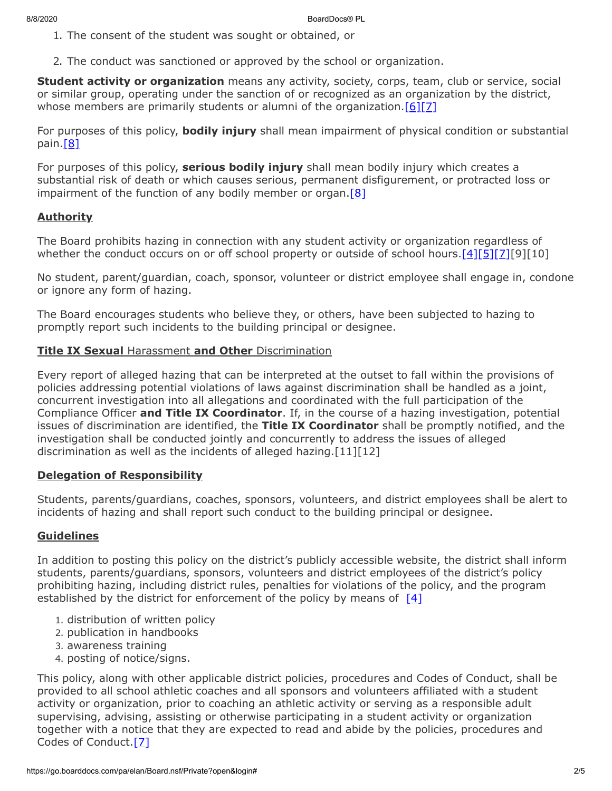- 1. The consent of the student was sought or obtained, or
- 2. The conduct was sanctioned or approved by the school or organization.

**Student activity or organization** means any activity, society, corps, team, club or service, social or similar group, operating under the sanction of or recognized as an organization by the district, whose members are primarily students or alumni of the organization.  $[6][7]$  $[6][7]$ 

For purposes of this policy, **bodily injury** shall mean impairment of physical condition or substantial pain. $[8]$ 

For purposes of this policy, **serious bodily injury** shall mean bodily injury which creates a substantial risk of death or which causes serious, permanent disfigurement, or protracted loss or impairment of the function of any bodily member or organ.  $[8]$ 

# **Authority**

The Board prohibits hazing in connection with any student activity or organization regardless of whether the conduct occurs on or off school property or outside of school hours.[\[4\]](https://www.legis.state.pa.us/cfdocs/legis/LI/consCheck.cfm?txtType=HTM&ttl=18&div=0&chpt=28&sctn=8&subsctn=0)[\[5\]](https://www.legis.state.pa.us/cfdocs/legis/LI/consCheck.cfm?txtType=HTM&ttl=18&div=0&chpt=28&sctn=6&subsctn=0)[\[7\]](http://www.legis.state.pa.us/cfdocs/legis/LI/uconsCheck.cfm?txtType=HTM&yr=1949&sessInd=0&smthLwInd=0&act=14&chpt=5&sctn=11&subsctn=0)[9][10]

No student, parent/guardian, coach, sponsor, volunteer or district employee shall engage in, condone or ignore any form of hazing.

The Board encourages students who believe they, or others, have been subjected to hazing to promptly report such incidents to the building principal or designee.

## **Title IX Sexual** Harassment **and Other** Discrimination

Every report of alleged hazing that can be interpreted at the outset to fall within the provisions of policies addressing potential violations of laws against discrimination shall be handled as a joint, concurrent investigation into all allegations and coordinated with the full participation of the Compliance Officer **and Title IX Coordinator**. If, in the course of a hazing investigation, potential issues of discrimination are identified, the **Title IX Coordinator** shall be promptly notified, and the investigation shall be conducted jointly and concurrently to address the issues of alleged discrimination as well as the incidents of alleged hazing.[11][12]

## **Delegation of Responsibility**

Students, parents/guardians, coaches, sponsors, volunteers, and district employees shall be alert to incidents of hazing and shall report such conduct to the building principal or designee.

## **Guidelines**

In addition to posting this policy on the district's publicly accessible website, the district shall inform students, parents/guardians, sponsors, volunteers and district employees of the district's policy prohibiting hazing, including district rules, penalties for violations of the policy, and the program established by the district for enforcement of the policy by means of  $[4]$ 

- 1. distribution of written policy
- 2. publication in handbooks
- 3. awareness training
- 4. posting of notice/signs.

This policy, along with other applicable district policies, procedures and Codes of Conduct, shall be provided to all school athletic coaches and all sponsors and volunteers affiliated with a student activity or organization, prior to coaching an athletic activity or serving as a responsible adult supervising, advising, assisting or otherwise participating in a student activity or organization together with a notice that they are expected to read and abide by the policies, procedures and Codes of Conduct. [\[7\]](http://www.legis.state.pa.us/cfdocs/legis/LI/uconsCheck.cfm?txtType=HTM&yr=1949&sessInd=0&smthLwInd=0&act=14&chpt=5&sctn=11&subsctn=0)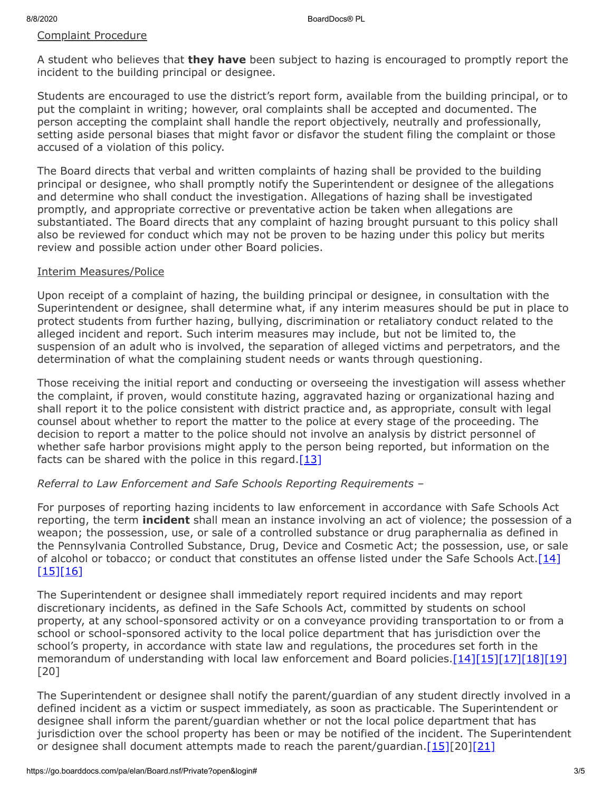### Complaint Procedure

A student who believes that **they have** been subject to hazing is encouraged to promptly report the incident to the building principal or designee.

Students are encouraged to use the district's report form, available from the building principal, or to put the complaint in writing; however, oral complaints shall be accepted and documented. The person accepting the complaint shall handle the report objectively, neutrally and professionally, setting aside personal biases that might favor or disfavor the student filing the complaint or those accused of a violation of this policy.

The Board directs that verbal and written complaints of hazing shall be provided to the building principal or designee, who shall promptly notify the Superintendent or designee of the allegations and determine who shall conduct the investigation. Allegations of hazing shall be investigated promptly, and appropriate corrective or preventative action be taken when allegations are substantiated. The Board directs that any complaint of hazing brought pursuant to this policy shall also be reviewed for conduct which may not be proven to be hazing under this policy but merits review and possible action under other Board policies.

#### Interim Measures/Police

Upon receipt of a complaint of hazing, the building principal or designee, in consultation with the Superintendent or designee, shall determine what, if any interim measures should be put in place to protect students from further hazing, bullying, discrimination or retaliatory conduct related to the alleged incident and report. Such interim measures may include, but not be limited to, the suspension of an adult who is involved, the separation of alleged victims and perpetrators, and the determination of what the complaining student needs or wants through questioning.

Those receiving the initial report and conducting or overseeing the investigation will assess whether the complaint, if proven, would constitute hazing, aggravated hazing or organizational hazing and shall report it to the police consistent with district practice and, as appropriate, consult with legal counsel about whether to report the matter to the police at every stage of the proceeding. The decision to report a matter to the police should not involve an analysis by district personnel of whether safe harbor provisions might apply to the person being reported, but information on the facts can be shared with the police in this regard. $[13]$ 

## *Referral to Law Enforcement and Safe Schools Reporting Requirements –*

For purposes of reporting hazing incidents to law enforcement in accordance with Safe Schools Act reporting, the term **incident** shall mean an instance involving an act of violence; the possession of a weapon; the possession, use, or sale of a controlled substance or drug paraphernalia as defined in the Pennsylvania Controlled Substance, Drug, Device and Cosmetic Act; the possession, use, or sale of alcohol or tobacco; or conduct that constitutes an offense listed under the Safe Schools Act.  $[14]$ [\[15\]](http://pacodeandbulletin.gov/Display/pacode?file=/secure/pacode/data/022/chapter10/s10.2.html&d=reduce)[\[16\]](http://www.legis.state.pa.us/cfdocs/legis/LI/uconsCheck.cfm?txtType=HTM&yr=1972&sessInd=0&smthLwInd=0&act=64&chpt=0&sctn=2&subsctn=0)

The Superintendent or designee shall immediately report required incidents and may report discretionary incidents, as defined in the Safe Schools Act, committed by students on school property, at any school-sponsored activity or on a conveyance providing transportation to or from a school or school-sponsored activity to the local police department that has jurisdiction over the school's property, in accordance with state law and regulations, the procedures set forth in the memorandum of understanding with local law enforcement and Board policies.  $[14][15][17][18][19]$  $[14][15][17][18][19]$  $[14][15][17][18][19]$  $[14][15][17][18][19]$  $[14][15][17][18][19]$ [20]

The Superintendent or designee shall notify the parent/guardian of any student directly involved in a defined incident as a victim or suspect immediately, as soon as practicable. The Superintendent or designee shall inform the parent/guardian whether or not the local police department that has jurisdiction over the school property has been or may be notified of the incident. The Superintendent or designee shall document attempts made to reach the parent/guardian. $[15][20][21]$  $[15][20][21]$  $[15][20][21]$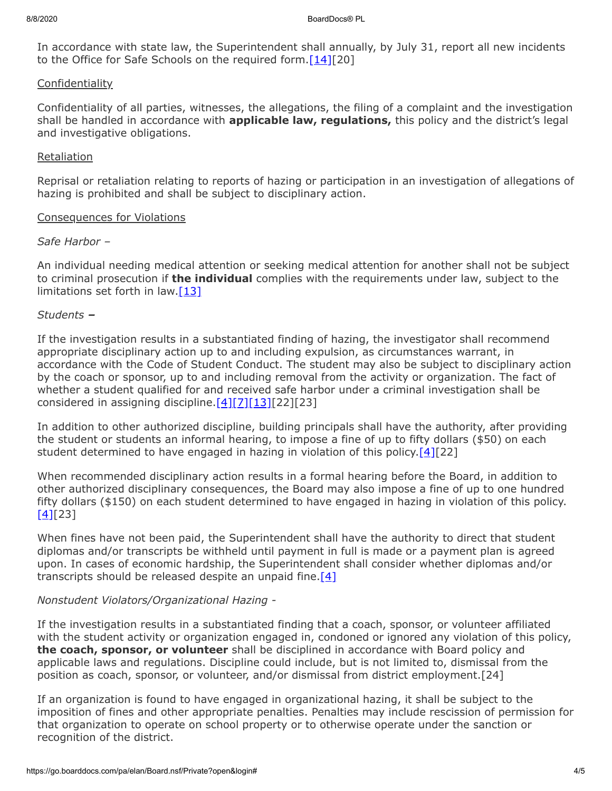In accordance with state law, the Superintendent shall annually, by July 31, report all new incidents to the Office for Safe Schools on the required form. $[14][20]$  $[14][20]$ 

### **Confidentiality**

Confidentiality of all parties, witnesses, the allegations, the filing of a complaint and the investigation shall be handled in accordance with **applicable law, regulations,** this policy and the district's legal and investigative obligations.

### Retaliation

Reprisal or retaliation relating to reports of hazing or participation in an investigation of allegations of hazing is prohibited and shall be subject to disciplinary action.

#### Consequences for Violations

### *Safe Harbor –*

An individual needing medical attention or seeking medical attention for another shall not be subject to criminal prosecution if **the individual** complies with the requirements under law, subject to the limitations set forth in law. $[13]$ 

#### *Students –*

If the investigation results in a substantiated finding of hazing, the investigator shall recommend appropriate disciplinary action up to and including expulsion, as circumstances warrant, in accordance with the Code of Student Conduct. The student may also be subject to disciplinary action by the coach or sponsor, up to and including removal from the activity or organization. The fact of whether a student qualified for and received safe harbor under a criminal investigation shall be considered in assigning discipline.  $[4][7][13][22][23]$  $[4][7][13][22][23]$  $[4][7][13][22][23]$  $[4][7][13][22][23]$ 

In addition to other authorized discipline, building principals shall have the authority, after providing the student or students an informal hearing, to impose a fine of up to fifty dollars (\$50) on each student determined to have engaged in hazing in violation of this policy.  $[4][22]$  $[4][22]$ 

When recommended disciplinary action results in a formal hearing before the Board, in addition to other authorized disciplinary consequences, the Board may also impose a fine of up to one hundred fifty dollars (\$150) on each student determined to have engaged in hazing in violation of this policy.  $[4]$ [23]

When fines have not been paid, the Superintendent shall have the authority to direct that student diplomas and/or transcripts be withheld until payment in full is made or a payment plan is agreed upon. In cases of economic hardship, the Superintendent shall consider whether diplomas and/or transcripts should be released despite an unpaid fine.  $[4]$ 

## *Nonstudent Violators/Organizational Hazing -*

If the investigation results in a substantiated finding that a coach, sponsor, or volunteer affiliated with the student activity or organization engaged in, condoned or ignored any violation of this policy, **the coach, sponsor, or volunteer** shall be disciplined in accordance with Board policy and applicable laws and regulations. Discipline could include, but is not limited to, dismissal from the position as coach, sponsor, or volunteer, and/or dismissal from district employment.[24]

If an organization is found to have engaged in organizational hazing, it shall be subject to the imposition of fines and other appropriate penalties. Penalties may include rescission of permission for that organization to operate on school property or to otherwise operate under the sanction or recognition of the district.